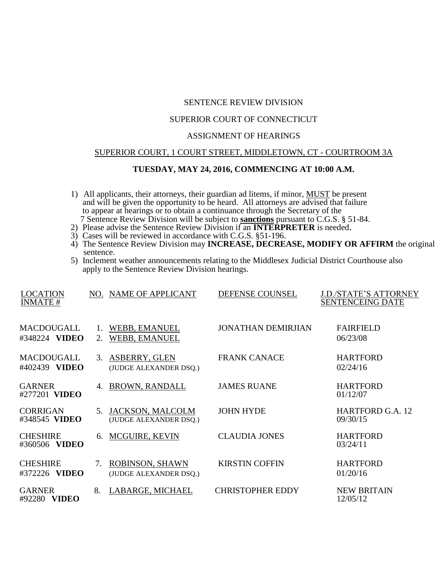# SENTENCE REVIEW DIVISION

# SUPERIOR COURT OF CONNECTICUT

### ASSIGNMENT OF HEARINGS

#### SUPERIOR COURT, 1 COURT STREET, MIDDLETOWN, CT - COURTROOM 3A

## **TUESDAY, MAY 24, 2016, COMMENCING AT 10:00 A.M.**

- 1) All applicants, their attorneys, their guardian ad litems, if minor, MUST be present and will be given the opportunity to be heard. All attorneys are advised that failure to appear at hearings or to obtain a continuance through the Secretary of the 7 Sentence Review Division will be subject to **sanctions** pursuant to C.G.S. § 51-84.
- 2) Please advise the Sentence Review Division if an **INTERPRETER** is needed.
- 3) Cases will be reviewed in accordance with C.G.S. §51-196.
- 4) The Sentence Review Division may **INCREASE, DECREASE, MODIFY OR AFFIRM** the original sentence.
- 5) Inclement weather announcements relating to the Middlesex Judicial District Courthouse also apply to the Sentence Review Division hearings.

| <b>LOCATION</b>                  |    | NO. NAME OF APPLICANT                             | DEFENSE COUNSEL           | J.D./STATE'S ATTORNEY               |
|----------------------------------|----|---------------------------------------------------|---------------------------|-------------------------------------|
| <b>INMATE#</b>                   |    |                                                   |                           | <b>SENTENCEING DATE</b>             |
| <b>MACDOUGALL</b>                |    | WEBB, EMANUEL                                     | <b>JONATHAN DEMIRJIAN</b> | <b>FAIRFIELD</b>                    |
| #348224 VIDEO                    | 2. | WEBB, EMANUEL                                     |                           | 06/23/08                            |
| <b>MACDOUGALL</b>                | 3. | <b>ASBERRY, GLEN</b>                              | <b>FRANK CANACE</b>       | <b>HARTFORD</b>                     |
| #402439 VIDEO                    |    | (JUDGE ALEXANDER DSQ.)                            |                           | 02/24/16                            |
| <b>GARNER</b>                    | 4. | <b>BROWN, RANDALL</b>                             | <b>JAMES RUANE</b>        | <b>HARTFORD</b>                     |
| #277201 VIDEO                    |    |                                                   |                           | 01/12/07                            |
| <b>CORRIGAN</b><br>#348545 VIDEO | 5. | <b>JACKSON, MALCOLM</b><br>(JUDGE ALEXANDER DSQ.) | <b>JOHN HYDE</b>          | <b>HARTFORD G.A. 12</b><br>09/30/15 |
| <b>CHESHIRE</b><br>#360506 VIDEO | 6. | <b>MCGUIRE, KEVIN</b>                             | <b>CLAUDIA JONES</b>      | <b>HARTFORD</b><br>03/24/11         |
|                                  |    |                                                   |                           |                                     |
| <b>CHESHIRE</b>                  | 7. | ROBINSON, SHAWN                                   | <b>KIRSTIN COFFIN</b>     | <b>HARTFORD</b>                     |
| #372226 VIDEO                    |    | (JUDGE ALEXANDER DSQ.)                            |                           | 01/20/16                            |
| <b>GARNER</b><br>#92280 VIDEO    | 8. | LABARGE, MICHAEL                                  | <b>CHRISTOPHER EDDY</b>   | <b>NEW BRITAIN</b><br>12/05/12      |